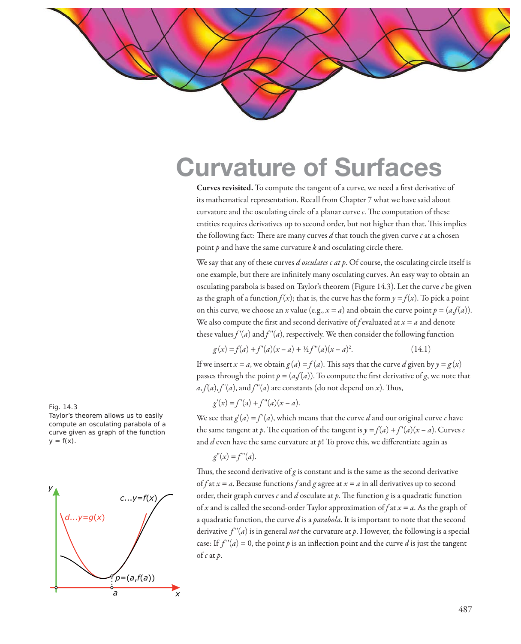# **Curvature of Surfaces**

Curves revisited. To compute the tangent of a curve, we need a first derivative of its mathematical representation. Recall from Chapter 7 what we have said about curvature and the osculating circle of a planar curve *c*. The computation of these entities requires derivatives up to second order, but not higher than that. This implies the following fact: There are many curves  $d$  that touch the given curve  $c$  at a chosen point *p* and have the same curvature *k* and osculating circle there.

We say that any of these curves *d osculates c at p*. Of course, the osculating circle itself is one example, but there are infinitely many osculating curves. An easy way to obtain an osculating parabola is based on Taylor's theorem (Figure 14.3). Let the curve *c* be given as the graph of a function  $f(x)$ ; that is, the curve has the form  $y = f(x)$ . To pick a point on this curve, we choose an *x* value (e.g.,  $x = a$ ) and obtain the curve point  $p = (a, f(a))$ . We also compute the first and second derivative of  $f$  evaluated at  $x = a$  and denote these values  $f'(a)$  and  $f''(a)$ , respectively. We then consider the following function

$$
g(x) = f(a) + f'(a)(x - a) + \frac{1}{2}f''(a)(x - a)^2.
$$
 (14.1)

If we insert  $x = a$ , we obtain  $g(a) = f(a)$ . This says that the curve *d* given by  $y = g(x)$ passes through the point  $p = (af(a))$ . To compute the first derivative of *g*, we note that  $a, f(a), f'(a),$  and  $f''(a)$  are constants (do not depend on *x*). Thus,

$$
g'(x) = f'(a) + f''(a)(x - a).
$$

We see that  $g'(a) = f'(a)$ , which means that the curve *d* and our original curve *c* have the same tangent at  $p$ . The equation of the tangent is  $y = f(a) + f'(a)(x - a)$ . Curves *c* and  $d$  even have the same curvature at  $p$ ! To prove this, we differentiate again as

$$
g''(x) = f''(a).
$$

Thus, the second derivative of  $g$  is constant and is the same as the second derivative of *f* at  $x = a$ . Because functions *f* and *g* agree at  $x = a$  in all derivatives up to second order, their graph curves  $c$  and  $d$  osculate at  $p$ . The function  $q$  is a quadratic function of *x* and is called the second-order Taylor approximation of  $f$  at  $x = a$ . As the graph of a quadratic function, the curve *d* is a *parabola*. It is important to note that the second derivative *f* ''(*a*) is in general *not* the curvature at *p*. However, the following is a special case: If  $f''(a) = 0$ , the point p is an inflection point and the curve d is just the tangent of *c* at *p*.

Fig. 14.3 Taylor's theorem allows us to easily compute an osculating parabola of a curve given as graph of the function  $y = f(x)$ .

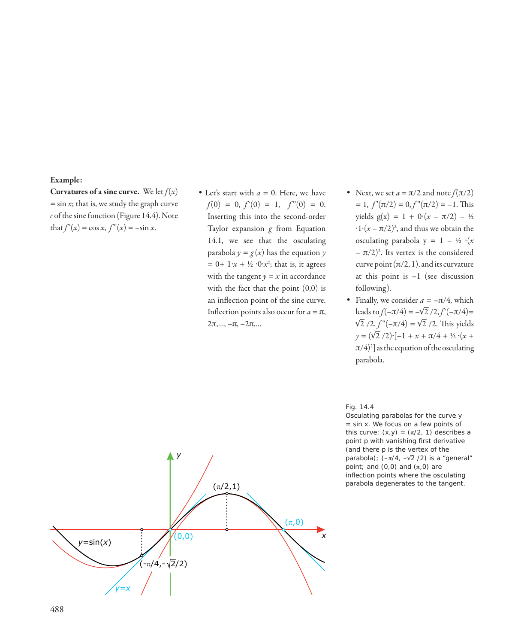# **Example:**

**Curvatures of a sine curve.** We let  $f(x)$  $=$  sin  $x$ ; that is, we study the graph curve *c* of the sine function (Figure 14.4). Note that  $f'(x) = \cos x$ ,  $f''(x) = -\sin x$ .

- Let's start with  $a = 0$ . Here, we have  $f(0) = 0, f'(0) = 1, f''(0) = 0.$ Inserting this into the second-order Taylor expansion *g* from Equation 14.1, we see that the osculating parabola  $y = g(x)$  has the equation  $y$  $= 0+ 1:x + \frac{1}{2} \cdot 0 \cdot x^2$ ; that is, it agrees with the tangent  $y = x$  in accordance with the fact that the point (0,0) is an inflection point of the sine curve. Inflection points also occur for  $a = \pi$ , 2π,…, –π, –2π,…
- Next, we set  $a = \pi/2$  and note  $f(\pi/2)$  $= 1, f'(\pi/2) = 0, f''(\pi/2) = -1.$  This yields  $g(x) = 1 + 0 \cdot (x - \pi/2) - \frac{1}{2}$  $\cdot 1 \cdot (x - \pi/2)^2$ , and thus we obtain the osculating parabola  $y = 1 - \frac{1}{2} \cdot (x)$  $\pi/2$ )<sup>2</sup>. Its vertex is the considered curve point  $(\pi/2, 1)$ , and its curvature at this point is –1 (see discussion following).
- Finally, we consider  $a = -\pi/4$ , which leads to  $f(-\pi/4) = -\sqrt{2}/2$ ,  $f'(-\pi/4) =$  $\sqrt{2}$  /2,  $f''(-\pi/4) = \sqrt{2}$  /2. This yields  $\gamma = (\sqrt{2}/2) \cdot [-1 + x + \pi/4 + \frac{1}{2} \cdot (x +$  $\pi/4$ <sup>2</sup>] as the equation of the osculating parabola.

#### Fig. 14.4

Osculating parabolas for the curve *y*  = sin *x*. We focus on a few points of this curve:  $(x, y) = (π/2, 1)$  describes a point  $p$  with vanishing first derivative (and there *p* is the vertex of the parabola);  $(-\pi/4, -\sqrt{2}/2)$  is a "general" point; and  $(0,0)$  and  $(\pi,0)$  are inflection points where the osculating parabola degenerates to the tangent.

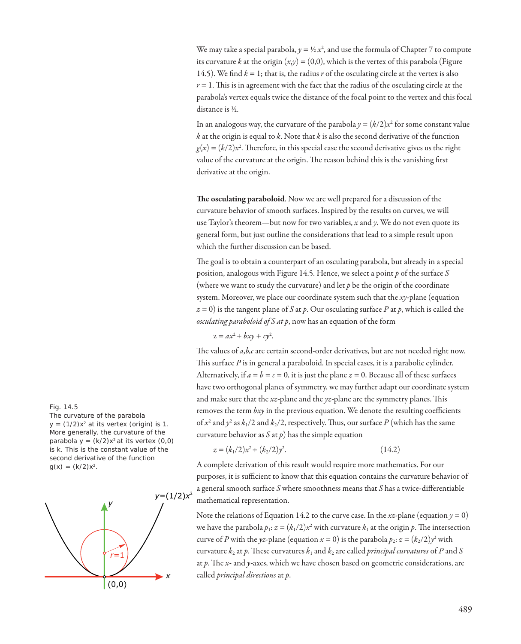We may take a special parabola,  $y = \frac{1}{2}x^2$ , and use the formula of Chapter 7 to compute its curvature *k* at the origin  $(x,y) = (0,0)$ , which is the vertex of this parabola (Figure 14.5). We find  $k = 1$ ; that is, the radius  $r$  of the osculating circle at the vertex is also  $r = 1$ . This is in agreement with the fact that the radius of the osculating circle at the parabola's vertex equals twice the distance of the focal point to the vertex and this focal distance is ½.

In an analogous way, the curvature of the parabola  $y = (k/2)x^2$  for some constant value *k* at the origin is equal to *k*. Note that *k* is also the second derivative of the function  $g(x) = (k/2)x^2$ . Therefore, in this special case the second derivative gives us the right value of the curvature at the origin. The reason behind this is the vanishing first derivative at the origin.

The osculating paraboloid. Now we are well prepared for a discussion of the curvature behavior of smooth surfaces. Inspired by the results on curves, we will use Taylor's theorem—but now for two variables, *x* and *y*. We do not even quote its general form, but just outline the considerations that lead to a simple result upon which the further discussion can be based.

The goal is to obtain a counterpart of an osculating parabola, but already in a special position, analogous with Figure 14.5. Hence, we select a point *p* of the surface *S* (where we want to study the curvature) and let  $p$  be the origin of the coordinate system. Moreover, we place our coordinate system such that the *xy*-plane (equation  $z = 0$ ) is the tangent plane of *S* at *p*. Our osculating surface *P* at *p*, which is called the *osculating paraboloid of S at p*, now has an equation of the form

 $z = ax^2 + bxy + cy^2$ .

The values of *a*,*b*,*c* are certain second-order derivatives, but are not needed right now. This surface  $P$  is in general a paraboloid. In special cases, it is a parabolic cylinder. Alternatively, if  $a = b = c = 0$ , it is just the plane  $z = 0$ . Because all of these surfaces have two orthogonal planes of symmetry, we may further adapt our coordinate system and make sure that the *xz*-plane and the *yz*-plane are the symmetry planes. This removes the term  $bxy$  in the previous equation. We denote the resulting coefficients of  $x^2$  and  $y^2$  as  $k_1/2$  and  $k_2/2$ , respectively. Thus, our surface  $P$  (which has the same curvature behavior as *S* at *p*) has the simple equation

$$
z = (k_1/2)x^2 + (k_2/2)y^2.
$$
 (14.2)

A complete derivation of this result would require more mathematics. For our purposes, it is sufficient to know that this equation contains the curvature behavior of a general smooth surface *S* where smoothness means that *S* has a twice-differentiable mathematical representation.

Note the relations of Equation 14.2 to the curve case. In the *xz*-plane (equation  $y = 0$ ) we have the parabola  $p_1$ :  $z = (k_1/2)x^2$  with curvature  $k_1$  at the origin  $p$ . The intersection curve of *P* with the *yz*-plane (equation  $x = 0$ ) is the parabola  $p_2$ :  $z = (k_2/2)y^2$  with curvature  $k_2$  at  $p$ . These curvatures  $k_1$  and  $k_2$  are called *principal curvatures* of  $P$  and  $S$ at p. The x- and y-axes, which we have chosen based on geometric considerations, are called *principal directions* at *p*.

Fig. 14.5

The curvature of the parabola  $y = (1/2)x^2$  at its vertex (origin) is 1. More generally, the curvature of the parabola  $y = (k/2)x^2$  at its vertex  $(0,0)$ is *k*. This is the constant value of the second derivative of the function  $g(x) = (k/2)x^2$ .

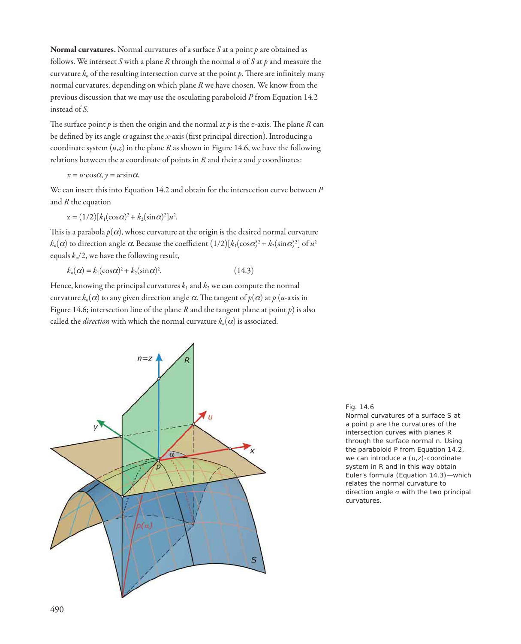**Normal curvatures.** Normal curvatures of a surface *S* at a point *p* are obtained as follows. We intersect *S* with a plane *R* through the normal *n* of *S* at *p* and measure the curvature  $k_n$  of the resulting intersection curve at the point  $p$ . There are infinitely many normal curvatures, depending on which plane *R* we have chosen. We know from the previous discussion that we may use the osculating paraboloid *P* from Equation 14.2 instead of *S*.

The surface point  $p$  is then the origin and the normal at  $p$  is the *z*-axis. The plane  $R$  can be defined by its angle  $\alpha$  against the *x*-axis (first principal direction). Introducing a coordinate system  $(u,z)$  in the plane *R* as shown in Figure 14.6, we have the following relations between the *u* coordinate of points in *R* and their *x* and *y* coordinates:

 $x = u \cdot \cos \alpha$ ,  $y = u \cdot \sin \alpha$ .

We can insert this into Equation 14.2 and obtain for the intersection curve between *P* and *R* the equation

 $z = (1/2)[k_1(\cos \alpha)^2 + k_2(\sin \alpha)^2]u^2$ .

This is a parabola  $p(\alpha)$ , whose curvature at the origin is the desired normal curvature  $k_n(\alpha)$  to direction angle  $\alpha$ . Because the coefficient  $(1/2)[k_1(\cos\alpha)^2+k_2(\sin\alpha)^2]$  of  $u^2$ equals  $k_n/2$ , we have the following result,

 $k_n(\alpha) = k_1(\cos \alpha)^2 + k_2(\sin \alpha)^2$ .  $(14.3)$ 

Hence, knowing the principal curvatures  $k_1$  and  $k_2$  we can compute the normal curvature  $k_n(\alpha)$  to any given direction angle  $\alpha$ . The tangent of  $p(\alpha)$  at  $p(\alpha)$ -axis in Figure 14.6; intersection line of the plane *R* and the tangent plane at point *p*) is also called the *direction* with which the normal curvature  $k_n(\alpha)$  is associated.



Fig. 14.6

Normal curvatures of a surface *S* at a point *p* are the curvatures of the intersection curves with planes *R* through the surface normal *n*. Using the paraboloid *P* from Equation 14.2, we can introduce a (*u*,*z*)-coordinate system in *R* and in this way obtain Euler's formula (Equation 14.3)—which relates the normal curvature to direction angle  $\alpha$  with the two principal curvatures.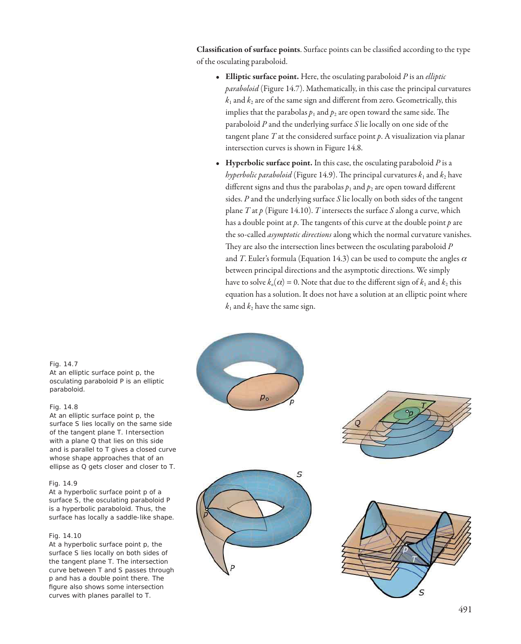**Classification of surface points**. Surface points can be classified according to the type of the osculating paraboloid.

- **Elliptic surface point.** Here, the osculating paraboloid *P* is an *elliptic paraboloid* (Figure 14.7). Mathematically, in this case the principal curvatures  $k_1$  and  $k_2$  are of the same sign and different from zero. Geometrically, this implies that the parabolas  $p_1$  and  $p_2$  are open toward the same side. The paraboloid *P* and the underlying surface *S* lie locally on one side of the tangent plane *T* at the considered surface point *p*. A visualization via planar intersection curves is shown in Figure 14.8.
- **Hyperbolic surface point.** In this case, the osculating paraboloid *P* is a *hyperbolic paraboloid* (Figure 14.9). The principal curvatures  $k_1$  and  $k_2$  have different signs and thus the parabolas  $p_1$  and  $p_2$  are open toward different sides. *P* and the underlying surface *S* lie locally on both sides of the tangent plane *T* at *p* (Figure 14.10). *T* intersects the surface *S* along a curve, which has a double point at  $p$ . The tangents of this curve at the double point  $p$  are the so-called *asymptotic directions* along which the normal curvature vanishes. They are also the intersection lines between the osculating paraboloid P and *T*. Euler's formula (Equation 14.3) can be used to compute the angles  $\alpha$ between principal directions and the asymptotic directions. We simply have to solve  $k_n(\alpha) = 0$ . Note that due to the different sign of  $k_1$  and  $k_2$  this equation has a solution. It does not have a solution at an elliptic point where  $k_1$  and  $k_2$  have the same sign.



Fig. 14.7

At an elliptic surface point *p*, the osculating paraboloid *P* is an elliptic paraboloid.

### Fig. 14.8

At an elliptic surface point *p*, the surface *S* lies locally on the same side of the tangent plane *T*. Intersection with a plane *Q* that lies on this side and is parallel to *T* gives a closed curve whose shape approaches that of an ellipse as *Q* gets closer and closer to *T*.

#### Fig. 14.9

At a hyperbolic surface point *p* of a surface *S*, the osculating paraboloid *P* is a hyperbolic paraboloid. Thus, the surface has locally a saddle-like shape.

#### Fig. 14.10

At a hyperbolic surface point *p*, the surface *S* lies locally on both sides of the tangent plane *T*. The intersection curve between *T* and *S* passes through *p* and has a double point there. The figure also shows some intersection curves with planes parallel to *T*.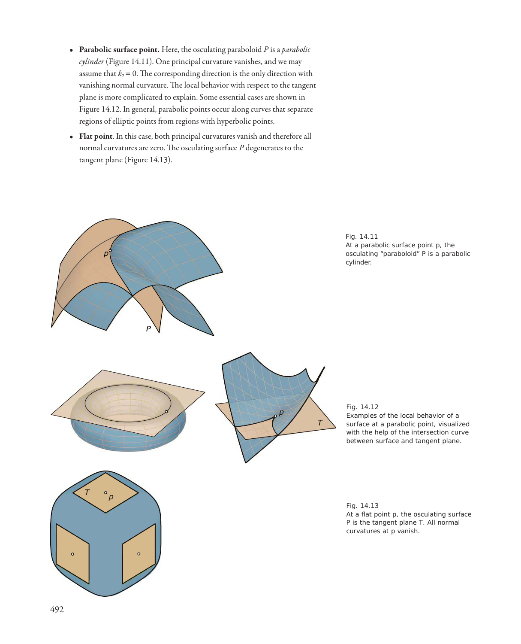- **Parabolic surface point.** Here, the osculating paraboloid *P* is a *parabolic cylinder* (Figure 14.11). One principal curvature vanishes, and we may assume that  $k_2 = 0$ . The corresponding direction is the only direction with vanishing normal curvature. The local behavior with respect to the tangent plane is more complicated to explain. Some essential cases are shown in Figure 14.12. In general, parabolic points occur along curves that separate regions of elliptic points from regions with hyperbolic points.
- **Flat point**. In this case, both principal curvatures vanish and therefore all normal curvatures are zero. The osculating surface P degenerates to the tangent plane (Figure 14.13).



Fig. 14.11 At a parabolic surface point *p*, the osculating "paraboloid" *P* is a parabolic cylinder.

Fig. 14.12

Examples of the local behavior of a surface at a parabolic point, visualized with the help of the intersection curve between surface and tangent plane.

Fig. 14.13 At a flat point  $p$ , the osculating surface *P* is the tangent plane *T*. All normal curvatures at *p* vanish.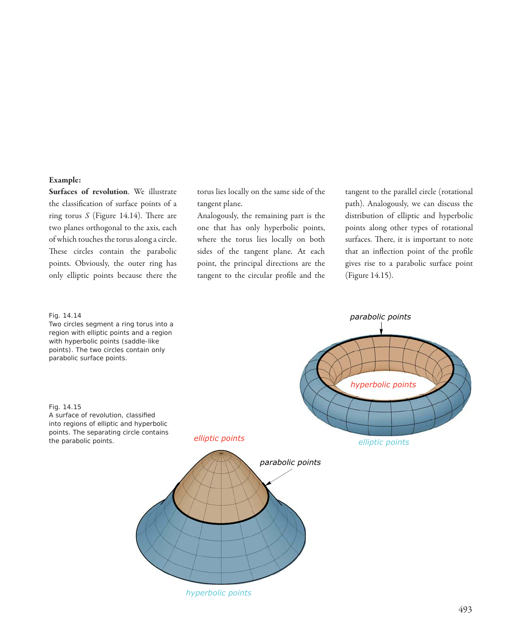## **Example:**

**Surfaces of revolution**. We illustrate the classification of surface points of a ring torus  $S$  (Figure 14.14). There are two planes orthogonal to the axis, each of which touches the torus along a circle. These circles contain the parabolic points. Obviously, the outer ring has only elliptic points because there the

torus lies locally on the same side of the tangent plane.

Analogously, the remaining part is the one that has only hyperbolic points, where the torus lies locally on both sides of the tangent plane. At each point, the principal directions are the tangent to the circular profile and the tangent to the parallel circle (rotational path). Analogously, we can discuss the distribution of elliptic and hyperbolic points along other types of rotational surfaces. There, it is important to note that an inflection point of the profile gives rise to a parabolic surface point (Figure 14.15).



*hyperbolic points*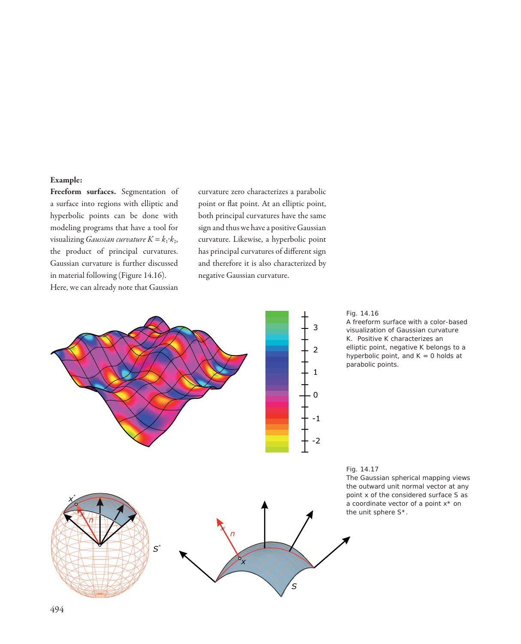## **Example:**

**Freeform surfaces.** Segmentation of a surface into regions with elliptic and hyperbolic points can be done with modeling programs that have a tool for visualizing *Gaussian curvature*  $K = k_1 \cdot k_2$ , the product of principal curvatures. Gaussian curvature is further discussed in material following (Figure 14.16). Here, we can already note that Gaussian

curvature zero characterizes a parabolic point or flat point. At an elliptic point, both principal curvatures have the same sign and thus we have a positive Gaussian curvature. Likewise, a hyperbolic point has principal curvatures of different sign and therefore it is also characterized by negative Gaussian curvature.



#### Fig. 14.16

A freeform surface with a color-based visualization of Gaussian curvature *K.* Positive *K* characterizes an elliptic point, negative *K* belongs to a hyperbolic point, and  $K = 0$  holds at parabolic points.

Fig. 14.17 The Gaussian spherical mapping views the outward unit normal vector at any point *x* of the considered surface *S* as a coordinate vector of a point *x*\* on the unit sphere *S*\*.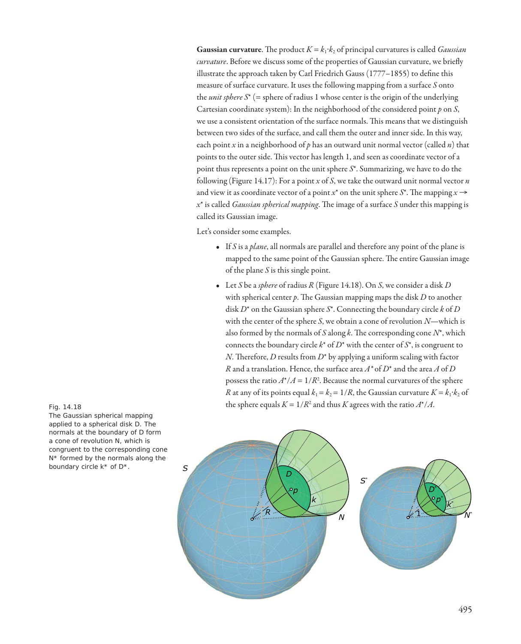**Gaussian curvature**. The product  $K = k_1 \cdot k_2$  of principal curvatures is called *Gaussian curvature*. Before we discuss some of the properties of Gaussian curvature, we briefly illustrate the approach taken by Carl Friedrich Gauss  $(1777-1855)$  to define this measure of surface curvature. It uses the following mapping from a surface *S* onto the *unit sphere*  $S^*$  (= sphere of radius 1 whose center is the origin of the underlying Cartesian coordinate system): In the neighborhood of the considered point *p* on *S*, we use a consistent orientation of the surface normals. This means that we distinguish between two sides of the surface, and call them the outer and inner side. In this way, each point *x* in a neighborhood of *p* has an outward unit normal vector (called *n*) that points to the outer side. This vector has length 1, and seen as coordinate vector of a point thus represents a point on the unit sphere *S*\*. Summarizing, we have to do the following (Figure 14.17): For a point *x* of *S*, we take the outward unit normal vector *n* and view it as coordinate vector of a point  $x^*$  on the unit sphere  $S^*$ . The mapping  $x \rightarrow$  $x^*$  is called *Gaussian spherical mapping*. The image of a surface *S* under this mapping is called its Gaussian image.

Let's consider some examples.

- If *S* is a *plane*, all normals are parallel and therefore any point of the plane is mapped to the same point of the Gaussian sphere. The entire Gaussian image of the plane *S* is this single point.
- Let *S* be a *sphere* of radius *R* (Figure 14.18). On *S*, we consider a disk *D* with spherical center  $p$ . The Gaussian mapping maps the disk  $D$  to another disk *D*\* on the Gaussian sphere *S*\*. Connecting the boundary circle *k* of *D* with the center of the sphere *S*, we obtain a cone of revolution *N*—which is also formed by the normals of *S* along  $k$ . The corresponding cone  $N^*$ , which connects the boundary circle *k*\* of *D*\* with the center of *S*\*, is congruent to *N*. Therefore, *D* results from *D*<sup>\*</sup> by applying a uniform scaling with factor *R* and a translation. Hence, the surface area *A\** of *D*\* and the area *A* of *D*  possess the ratio  $A^*/A = 1/R^2$ . Because the normal curvatures of the sphere *R* at any of its points equal  $k_1 = k_2 = 1/R$ , the Gaussian curvature  $K = k_1 \cdot k_2$  of the sphere equals  $K = 1/R^2$  and thus  $K$  agrees with the ratio  $A^*/A$ .



Fig. 14.18 The Gaussian spherical mapping

applied to a spherical disk *D*. The normals at the boundary of *D* form a cone of revolution *N*, which is congruent to the corresponding cone *N*\* formed by the normals along the boundary circle *k*\* of *D*\*.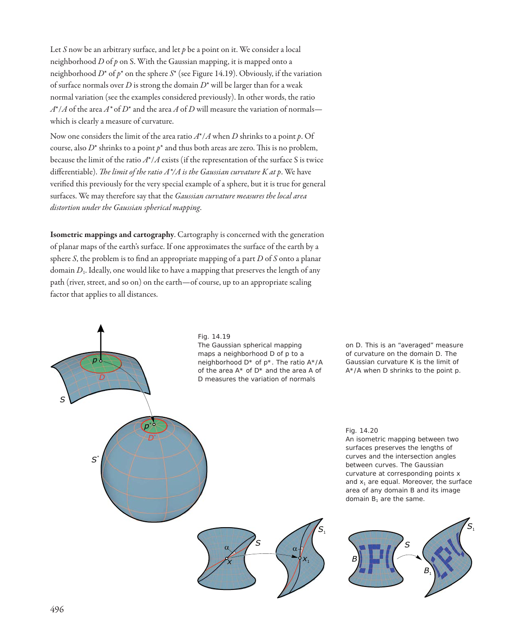Let *S* now be an arbitrary surface, and let *p* be a point on it. We consider a local neighborhood *D* of *p* on S. With the Gaussian mapping, it is mapped onto a neighborhood *D*\* of *p*\* on the sphere *S*\* (see Figure 14.19). Obviously, if the variation of surface normals over *D* is strong the domain *D*\* will be larger than for a weak normal variation (see the examples considered previously). In other words, the ratio  $A^*/A$  of the area  $A^*$  of  $D^*$  and the area  $A$  of  $D$  will measure the variation of normals which is clearly a measure of curvature.

Now one considers the limit of the area ratio *A*\*/*A* when *D* shrinks to a point *p*. Of course, also  $D^*$  shrinks to a point  $p^*$  and thus both areas are zero. This is no problem, because the limit of the ratio *A*\*/*A* exists (if the representation of the surface S is twice differentiable). *The limit of the ratio A\*/A is the Gaussian curvature K at p*. We have verified this previously for the very special example of a sphere, but it is true for general surfaces. We may therefore say that the *Gaussian curvature measures the local area distortion under the Gaussian spherical mapping*.

**Isometric mappings and cartography**. Cartography is concerned with the generation of planar maps of the earth's surface. If one approximates the surface of the earth by a sphere *S*, the problem is to find an appropriate mapping of a part  $D$  of  $S$  onto a planar domain *D*1. Ideally, one would like to have a mapping that preserves the length of any path (river, street, and so on) on the earth—of course, up to an appropriate scaling factor that applies to all distances.



 $\mathcal{S}_1$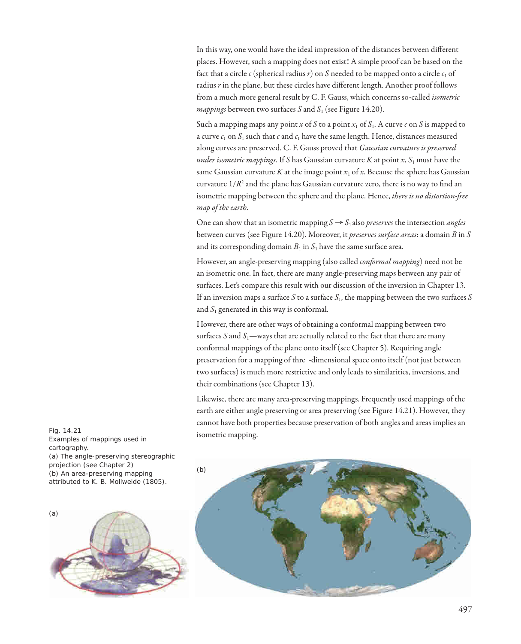In this way, one would have the ideal impression of the distances between different places. However, such a mapping does not exist! A simple proof can be based on the fact that a circle  $c$  (spherical radius  $r$ ) on  $S$  needed to be mapped onto a circle  $c_1$  of radius *r* in the plane, but these circles have different length. Another proof follows from a much more general result by C. F. Gauss, which concerns so-called *isometric mappings* between two surfaces *S* and  $S<sub>1</sub>$  (see Figure 14.20).

Such a mapping maps any point *x* of *S* to a point  $x_1$  of  $S_1$ . A curve *c* on *S* is mapped to a curve  $c_1$  on  $S_1$  such that  $c$  and  $c_1$  have the same length. Hence, distances measured along curves are preserved. C. F. Gauss proved that *Gaussian curvature is preserved under isometric mappings*. If *S* has Gaussian curvature *K* at point *x*,  $S_1$  must have the same Gaussian curvature *K* at the image point  $x_1$  of *x*. Because the sphere has Gaussian curvature  $1/R<sup>2</sup>$  and the plane has Gaussian curvature zero, there is no way to find an isometric mapping between the sphere and the plane. Hence, *there is no distortion-free map of the earth*.

One can show that an isometric mapping  $S \rightarrow S_1$  also *preserves* the intersection *angles* between curves (see Figure 14.20). Moreover, it *preserves surface areas*: a domain *B* in *S* and its corresponding domain  $B_1$  in  $S_1$  have the same surface area.

However, an angle-preserving mapping (also called *conformal mapping*) need not be an isometric one. In fact, there are many angle-preserving maps between any pair of surfaces. Let's compare this result with our discussion of the inversion in Chapter 13. If an inversion maps a surface  $S$  to a surface  $S_1$ , the mapping between the two surfaces  $S$ and *S*1 generated in this way is conformal.

However, there are other ways of obtaining a conformal mapping between two surfaces  $S$  and  $S_1$ —ways that are actually related to the fact that there are many conformal mappings of the plane onto itself (see Chapter 5). Requiring angle preservation for a mapping of thre -dimensional space onto itself (not just between two surfaces) is much more restrictive and only leads to similarities, inversions, and their combinations (see Chapter 13).

Likewise, there are many area-preserving mappings. Frequently used mappings of the earth are either angle preserving or area preserving (see Figure 14.21). However, they cannot have both properties because preservation of both angles and areas implies an isometric mapping.

Fig. 14.21 Examples of mappings used in cartography. (a) The angle-preserving stereographic projection (see Chapter 2) (b) An area-preserving mapping attributed to K. B. Mollweide (1805).



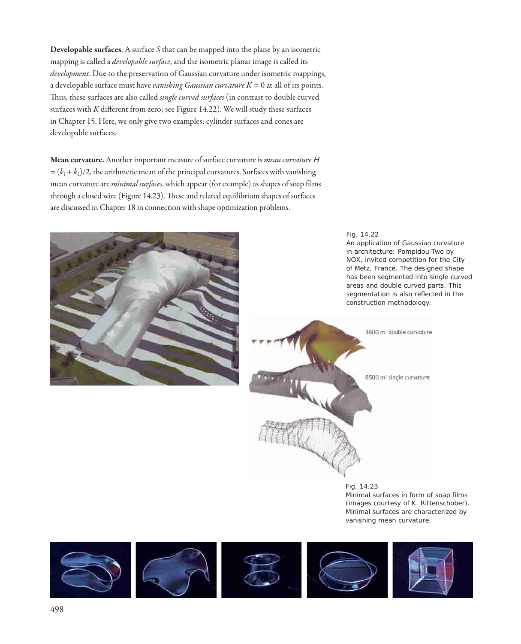**Developable surfaces**. A surface *S* that can be mapped into the plane by an isometric mapping is called a *developable surface*, and the isometric planar image is called its *development*. Due to the preservation of Gaussian curvature under isometric mappings, a developable surface must have *vanishing Gaussian curvature K* = 0 at all of its points. Thus, these surfaces are also called *single curved surfaces* (in contrast to double curved surfaces with *K* different from zero; see Figure 14.22). We will study these surfaces in Chapter 15. Here, we only give two examples: cylinder surfaces and cones are developable surfaces.

**Mean curvature.** Another important measure of surface curvature is *mean curvature H*   $=(k_1 + k_2)/2$ , the arithmetic mean of the principal curvatures. Surfaces with vanishing mean curvature are *minimal surfaces*, which appear (for example) as shapes of soap films through a closed wire (Figure 14.23). These and related equilibrium shapes of surfaces are discussed in Chapter 18 in connection with shape optimization problems.





An application of Gaussian curvature in architecture: Pompidou Two by NOX, invited competition for the City of Metz, France. The designed shape has been segmented into single curved areas and double curved parts. This segmentation is also reflected in the construction methodology.



Fig. 14.23 Minimal surfaces in form of soap films (images courtesy of K. Rittenschober). Minimal surfaces are characterized by vanishing mean curvature.

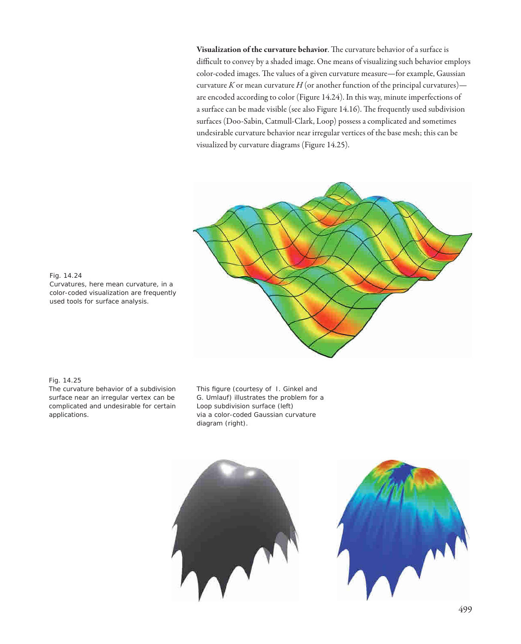**Visualization of the curvature behavior**. The curvature behavior of a surface is difficult to convey by a shaded image. One means of visualizing such behavior employs color-coded images. The values of a given curvature measure—for example, Gaussian curvature  $K$  or mean curvature  $H$  (or another function of the principal curvatures) are encoded according to color (Figure 14.24). In this way, minute imperfections of a surface can be made visible (see also Figure 14.16). The frequently used subdivision surfaces (Doo-Sabin, Catmull-Clark, Loop) possess a complicated and sometimes undesirable curvature behavior near irregular vertices of the base mesh; this can be visualized by curvature diagrams (Figure 14.25).



Fig. 14.24 Curvatures, here mean curvature, in a color-coded visualization are frequently used tools for surface analysis.

## Fig. 14.25

The curvature behavior of a subdivision surface near an irregular vertex can be complicated and undesirable for certain applications.

This figure (courtesy of I. Ginkel and G. Umlauf) illustrates the problem for a Loop subdivision surface (left) via a color-coded Gaussian curvature diagram (right).



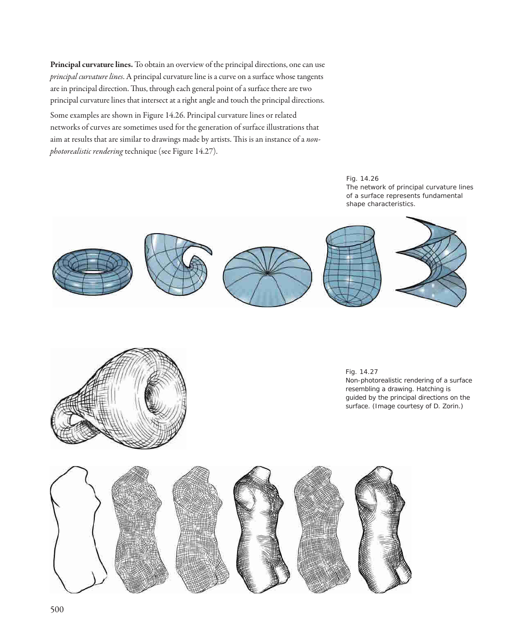**Principal curvature lines.** To obtain an overview of the principal directions, one can use *principal curvature lines*. A principal curvature line is a curve on a surface whose tangents are in principal direction. Thus, through each general point of a surface there are two principal curvature lines that intersect at a right angle and touch the principal directions.

Some examples are shown in Figure 14.26. Principal curvature lines or related networks of curves are sometimes used for the generation of surface illustrations that aim at results that are similar to drawings made by artists. This is an instance of a *nonphotorealistic rendering* technique (see Figure 14.27).

> Fig. 14.26 The network of principal curvature lines of a surface represents fundamental shape characteristics.





Fig. 14.27 Non-photorealistic rendering of a surface resembling a drawing. Hatching is guided by the principal directions on the surface. (Image courtesy of D. Zorin.)

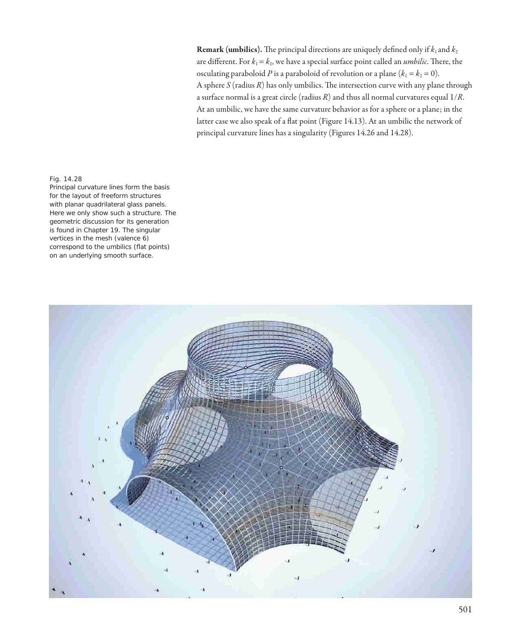**Remark (umbilics).** The principal directions are uniquely defined only if  $k_1$  and  $k_2$ are different. For  $k_1 = k_2$ , we have a special surface point called an *umbilic*. There, the osculating paraboloid *P* is a paraboloid of revolution or a plane  $(k_1 = k_2 = 0)$ . A sphere *S* (radius *R*) has only umbilics. The intersection curve with any plane through a surface normal is a great circle (radius *R*) and thus all normal curvatures equal 1/*R*. At an umbilic, we have the same curvature behavior as for a sphere or a plane; in the latter case we also speak of a flat point (Figure 14.13). At an umbilic the network of principal curvature lines has a singularity (Figures 14.26 and 14.28).

## Fig. 14.28

Principal curvature lines form the basis for the layout of freeform structures with planar quadrilateral glass panels. Here we only show such a structure. The geometric discussion for its generation is found in Chapter 19. The singular vertices in the mesh (valence 6) correspond to the umbilics (flat points) on an underlying smooth surface.